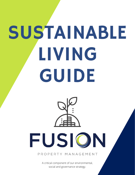# SUSTAINABLE LIVING GUIDE



#### PROPERTY MANAGEMENT

FUSION

A critical component of our environmental, social and governance strategy.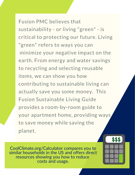Fusion PMC believes that sustainability - or living "green" - is critical to protecting our future. Living "green" refers to ways you can minimize your negative impact on the earth. From energy and water savings to recycling and selecting reusable items, we can show you how contributing to sustainable living can actually save you some money. This Fusion Sustainable Living Guide provides a room-by-room guide to your apartment home, providing ways to save money while saving the planet.

\$\$\$

CoolClimate.org/Calculator compares you to similar households in the US and offers direct resources showing you how to reduce costs and usage.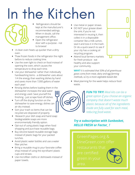## In the Kitchen



- Refrigerators should be kept at the manufacturer's recommended settings. When in doubt, call the management office.
- Open the refrigerator door with a purpose - not to browse!
- A clean oven heats up quicker than a dirty oven.
- Thaw frozen foods in the refrigerator the night before to reduce cooking time.
- Use the oven light to check on food instead of opening the oven, which causes the temperature to drop each time.
- Use your dishwasher rather than individually handwashing items - a dishwasher uses about 1/4 the energy than washing dishes by hand and saves more than 7,000 gallons of water each year!
- Rinsing dishes before loading them in the dishwasher increases the tatal water and energy used. Save yourself the finishing - just scrape food off dishes.
- Turn off the drying function on the dishwasher to save energy; dishes can air-dry instead.
- Sort your trash so items that can be recycled are disposed of properly.
- Research your dish soap and hand soap: biodegradable soaps are more environmentally friendly option.
- Opt-out of using plastic bags when food shopping and purchase reusable bags.
- Buy silicone-based reusable storage bags instead of plastic bags for your packed lunches.
- Avoid plastic water bottles and use a water filter pitcher.
- Bring a reusable mug to your favoraite coffee shop instead of using the styrofoam/ plastic cups and straws.
- Use microfiber cloths or dishtowels instead of paper towels.
- Use metal or paper straws.
- DO NOT pour grease down the sink; if you're not interested in reusing it, then collect it in a disposable container like a milk carton, seal it and toss it in the trash. Or do a quick search to see if your city has a cooking oil recycling program.
- Attend local farmers markets for fresh produce - eat healthy and also support your community.



**WHY?** *It is estimated that 50% of all greenhouse gases come from meat, dairy and egg farming methods, so try a more vegetable-based diet.*

Meal planning for the week helps reduce food waste.



#### *Try a subscription with Sunbasket, HELLO FRESH or Factor\_ !*

area.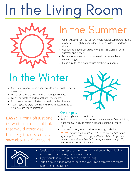# In the Living Room



## In the Summer

- Open windows for fresh airflow when outside temperatures are moderate on high humidity days, it's best to leave windows closed.
- Use fans to effectively circulate the air (this works in both summer and winter).
- Make sure windows and doors are closed when the air conditioning is on.
- Make sure there is no furniture blocking your vents..

## In the Winter

- Make sure windows and doors are closed when the heat is turned on.
- Make sure there is no furniture blocking the vents.
- Layer your clothes and wear that fuzzy sweater!
- Purchase a down comforter for maximum bedtime warmth.
- Covering wood-style flooring and tile with accent rugs can help insulate your apartment.

**EASY:** Turning off just one 60-watt incandescent bulb that would otherwise burn eight hours a day can save about \$15 per year!

#### Other tips...

- Turn off lights when not in use.
- Pull-up blinds during the day to take advantage of natural light; close them at night to retain heat and cool the air more effectively.
- Use LED or CFL (Compact Fluorescent Lights) bulbs. **WHY?** *Qualified fluorescent light bulbs (CFLs) provide high-quality light output, use 75% less enegry and last 6-10 times longer than standard incandescent light bulbs, saving money on energy bills, replacement costs and less waste.*



- Consider renewable resources for furniture and decor, by including cotton, wool, hemp, soy, bamboo and cork.
- Buy products in reusable or recyclable packing.
- Sprinkle baking soda onto carpets and vacuum to remove odor from stains or spills naturally.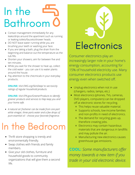## In the Bathroom

- Contact management immediately for any leaks/drips around the apartment such as running or leaking toilets/faucets/shower heads.
- DO NOT leave water running while you are brushing your teeth or washing your face.
- If you are taking a bath, plug the drain from the beginning and balance out the temperature as the tub fills.
- Shorten your showers; aim for between five and ten minutes.
- While you wait for the shower to heat up, collect the cold water - you can use it to water plants around the house.
- Pay attention to the checmicals in your everyday products.

**ONLINE:** *Visit EWG.org/SkinDeep/ to see toxicity ratings of regular household products.*

**ONLINE:** *Visit EPA.gov/GreenerProducts to identify greener products and services to hlep keep you and your home safe.*

*A natural air freshener can be made from one part white vinegar, three parts water and a few drops of pure essential oil - choose your favorate fragrance.*

## In the Bedroom

- Thrift store shopping is trendy and environmentally friendly.
- Swap clothes with friends and family members.
- Give your old clothes, furniture and household goods to community organizations that will give them a second life.

# **Electronics**

Consumer electronics play an increasingly larger role in your home's energy consumption, accounting for 15% of household electricity use. Many consumer electronics products use energy even when switched off.

- Unplug electronics when not in use (chargers, radios, lamps, etc.)
- Most electronics (phones, TVs, cameras, DVD players, computers) can be dropped off at electronic stores for recycling.
	- This helps reuse valuable material.
	- Supports schools, low-income families and non-profits in need of electronics.
	- The demand for recycling goes up, therefore creating jobs.
	- Electronics may contain hazardous materials that are dangerous in landfills and may pollute the air.
	- Manufacturing new electronics causes greenhouse gas emissions.

**COOL:** *Some manufacturers offer money towards a new item if you trade in your old electronic device.*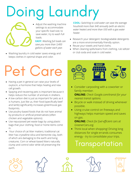# Doing Laundry



• Adjust the washing machine settings to accommodate your specific load size; to save water, try to wash full loads.

**EASY:** *Washing full loads can save you more than 3,400 gallons of water each year.*

Washing laundry in cold water saves energy and keeps clothes in optimal shape and color.

**COOL:** *Switching to cold water can save the average houshold more than \$40 annually (with an electric water heater) and more than \$30 with a gas water heater.*

- Research your detergent: biodegradable detergents are a more environmentally-friendly option.
- Reuse your towels and hand cloths.
- When cleaning spills/stains from clothing, rub seltzer or club soda and soak in cold water.

## Pet Care

- Having a pet in general can raise your levels of oxytocin, a hormone that helps healing and new cell growth.
- Spaying and neutering pets is important because it helps reduce the number of animals in shelters.
- A low-carbon diet is just as important for pets as it is humans. Just like us, their food (specifically beef and lamb) significantly increases greenhouse gas footprints.
- Use poultry-based foods that do not have animal by-products or artificial preservatives (often chicken and vegetable options).
- Use repurposed pet waste bags by using plastic bags that your clothing, food or home items come in.
- Your choice of cat litter matters; traditional cat litter has crystalline silica and bentonite clay, both of which are damaging to the earth and living creatures. Corn or wheat-based litters naturally clump and control odor while sill preserving the earth.



Consider carpooling with a coworker or family member.

**ONLINE:** *Check Google.com/transit for your nearest transit options.*

- Bicycle or walk instead of driving whenever possible.
- Using cruise control on freeways and highways helps maintain speed and saves on gas.

**ONLINE:** *Check for fuel-efficient cars at GreenerCars.org.*

• Think local when shopping! Driving long distances for single errands consumes energy - try to consolidate your trips.

### Transportation